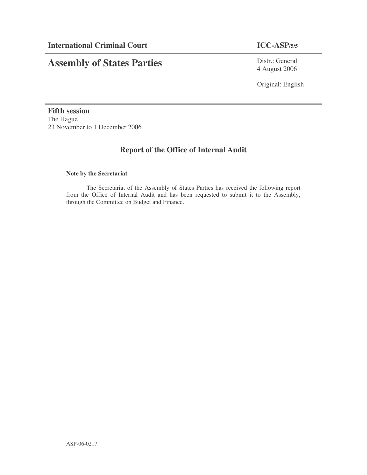# **Assembly of States Parties**

Distr.: General 4 August 2006

Original: English

**Fifth session** The Hague 23 November to 1 December 2006

## **Report of the Office of Internal Audit**

#### **Note by the Secretariat**

The Secretariat of the Assembly of States Parties has received the following report from the Office of Internal Audit and has been requested to submit it to the Assembly, through the Committee on Budget and Finance.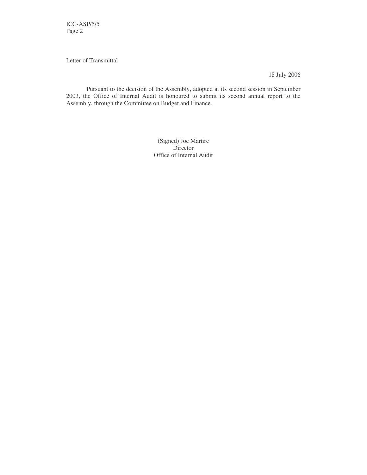ICC-ASP/5/5 Page 2

Letter of Transmittal

18 July 2006

Pursuant to the decision of the Assembly, adopted at its second session in September 2003, the Office of Internal Audit is honoured to submit its second annual report to the Assembly, through the Committee on Budget and Finance.

> (Signed) Joe Martire Director Office of Internal Audit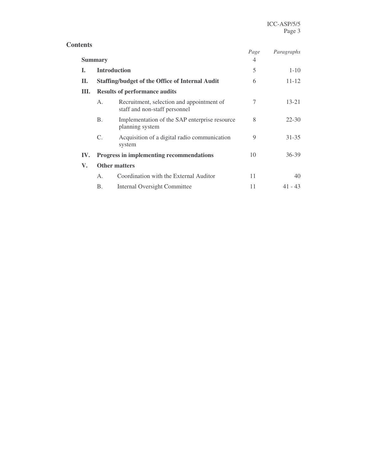|     |                      |                                                                            | Page | Paragraphs |  |
|-----|----------------------|----------------------------------------------------------------------------|------|------------|--|
|     | <b>Summary</b>       |                                                                            | 4    |            |  |
| I.  |                      | <b>Introduction</b>                                                        | 5    | $1 - 10$   |  |
| П.  |                      | <b>Staffing/budget of the Office of Internal Audit</b>                     | 6    | $11 - 12$  |  |
| Ш.  |                      | <b>Results of performance audits</b>                                       |      |            |  |
|     | A <sub>1</sub>       | Recruitment, selection and appointment of<br>staff and non-staff personnel | 7    | $13 - 21$  |  |
|     | B.                   | Implementation of the SAP enterprise resource<br>planning system           | 8    | $22 - 30$  |  |
|     | C.                   | Acquisition of a digital radio communication<br>system                     | 9    | $31 - 35$  |  |
| IV. |                      | Progress in implementing recommendations                                   | 10   | $36 - 39$  |  |
| V.  | <b>Other matters</b> |                                                                            |      |            |  |
|     | Α.                   | Coordination with the External Auditor                                     | 11   | 40         |  |
|     | Β.                   | Internal Oversight Committee                                               | 11   | $41 - 43$  |  |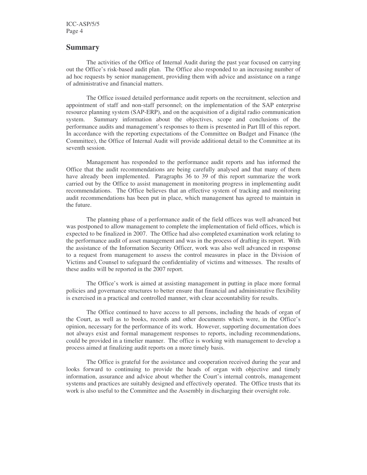ICC-ASP/5/5 Page 4

#### **Summary**

The activities of the Office of Internal Audit during the past year focused on carrying out the Office's risk-based audit plan. The Office also responded to an increasing number of ad hoc requests by senior management, providing them with advice and assistance on a range of administrative and financial matters.

The Office issued detailed performance audit reports on the recruitment, selection and appointment of staff and non-staff personnel; on the implementation of the SAP enterprise resource planning system (SAP-ERP), and on the acquisition of a digital radio communication system. Summary information about the objectives, scope and conclusions of the performance audits and management's responses to them is presented in Part III of this report. In accordance with the reporting expectations of the Committee on Budget and Finance (the Committee), the Office of Internal Audit will provide additional detail to the Committee at its seventh session.

Management has responded to the performance audit reports and has informed the Office that the audit recommendations are being carefully analysed and that many of them have already been implemented. Paragraphs 36 to 39 of this report summarize the work carried out by the Office to assist management in monitoring progress in implementing audit recommendations. The Office believes that an effective system of tracking and monitoring audit recommendations has been put in place, which management has agreed to maintain in the future.

The planning phase of a performance audit of the field offices was well advanced but was postponed to allow management to complete the implementation of field offices, which is expected to be finalized in 2007. The Office had also completed examination work relating to the performance audit of asset management and was in the process of drafting its report. With the assistance of the Information Security Officer, work was also well advanced in response to a request from management to assess the control measures in place in the Division of Victims and Counsel to safeguard the confidentiality of victims and witnesses. The results of these audits will be reported in the 2007 report.

The Office's work is aimed at assisting management in putting in place more formal policies and governance structures to better ensure that financial and administrative flexibility is exercised in a practical and controlled manner, with clear accountability for results.

The Office continued to have access to all persons, including the heads of organ of the Court, as well as to books, records and other documents which were, in the Office's opinion, necessary for the performance of its work. However, supporting documentation does not always exist and formal management responses to reports, including recommendations, could be provided in a timelier manner. The office is working with management to develop a process aimed at finalizing audit reports on a more timely basis.

The Office is grateful for the assistance and cooperation received during the year and looks forward to continuing to provide the heads of organ with objective and timely information, assurance and advice about whether the Court's internal controls, management systems and practices are suitably designed and effectively operated. The Office trusts that its work is also useful to the Committee and the Assembly in discharging their oversight role.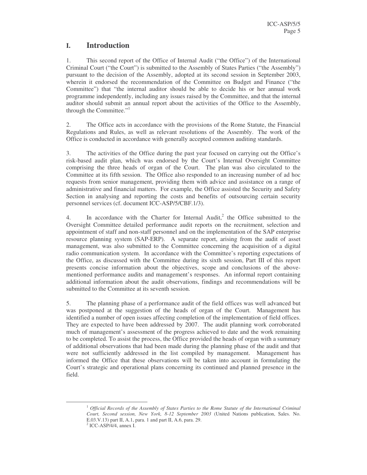## **I. Introduction**

1. This second report of the Office of Internal Audit ("the Office") of the International Criminal Court ("the Court") is submitted to the Assembly of States Parties ("the Assembly") pursuant to the decision of the Assembly, adopted at its second session in September 2003, wherein it endorsed the recommendation of the Committee on Budget and Finance ("the Committee") that "the internal auditor should be able to decide his or her annual work programme independently, including any issues raised by the Committee, and that the internal auditor should submit an annual report about the activities of the Office to the Assembly, through the Committee."<sup>1</sup>

2. The Office acts in accordance with the provisions of the Rome Statute, the Financial Regulations and Rules, as well as relevant resolutions of the Assembly. The work of the Office is conducted in accordance with generally accepted common auditing standards.

3. The activities of the Office during the past year focused on carrying out the Office's risk-based audit plan, which was endorsed by the Court's Internal Oversight Committee comprising the three heads of organ of the Court. The plan was also circulated to the Committee at its fifth session. The Office also responded to an increasing number of ad hoc requests from senior management, providing them with advice and assistance on a range of administrative and financial matters. For example, the Office assisted the Security and Safety Section in analysing and reporting the costs and benefits of outsourcing certain security personnel services (cf. document ICC-ASP/5/CBF.1/3).

4. In accordance with the Charter for Internal Audit,<sup>2</sup> the Office submitted to the Oversight Committee detailed performance audit reports on the recruitment, selection and appointment of staff and non-staff personnel and on the implementation of the SAP enterprise resource planning system (SAP-ERP). A separate report, arising from the audit of asset management, was also submitted to the Committee concerning the acquisition of a digital radio communication system. In accordance with the Committee's reporting expectations of the Office, as discussed with the Committee during its sixth session, Part III of this report presents concise information about the objectives, scope and conclusions of the abovementioned performance audits and management's responses. An informal report containing additional information about the audit observations, findings and recommendations will be submitted to the Committee at its seventh session.

5. The planning phase of a performance audit of the field offices was well advanced but was postponed at the suggestion of the heads of organ of the Court. Management has identified a number of open issues affecting completion of the implementation of field offices. They are expected to have been addressed by 2007. The audit planning work corroborated much of management's assessment of the progress achieved to date and the work remaining to be completed. To assist the process, the Office provided the heads of organ with a summary of additional observations that had been made during the planning phase of the audit and that were not sufficiently addressed in the list compiled by management. Management has informed the Office that these observations will be taken into account in formulating the Court's strategic and operational plans concerning its continued and planned presence in the field.

<sup>1</sup> *Official Records of the Assembly of States Parties to the Rome Statute of the International Criminal Court, Second session, New York, 8-12 September 2003* (United Nations publication, Sales. No. E.03.V.13) part II, A.1, para. 1 and part II, A.6, para. 29.

<sup>2</sup> ICC-ASP/4/4, annex I.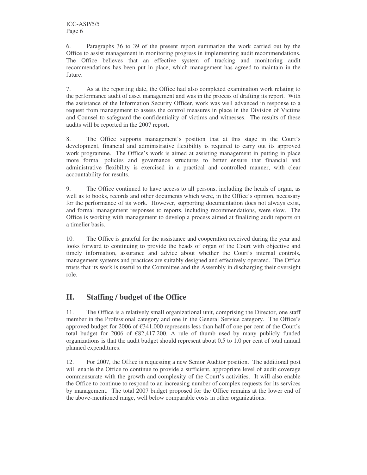6. Paragraphs 36 to 39 of the present report summarize the work carried out by the Office to assist management in monitoring progress in implementing audit recommendations. The Office believes that an effective system of tracking and monitoring audit recommendations has been put in place, which management has agreed to maintain in the future.

7. As at the reporting date, the Office had also completed examination work relating to the performance audit of asset management and was in the process of drafting its report. With the assistance of the Information Security Officer, work was well advanced in response to a request from management to assess the control measures in place in the Division of Victims and Counsel to safeguard the confidentiality of victims and witnesses. The results of these audits will be reported in the 2007 report.

8. The Office supports management's position that at this stage in the Court's development, financial and administrative flexibility is required to carry out its approved work programme. The Office's work is aimed at assisting management in putting in place more formal policies and governance structures to better ensure that financial and administrative flexibility is exercised in a practical and controlled manner, with clear accountability for results.

9. The Office continued to have access to all persons, including the heads of organ, as well as to books, records and other documents which were, in the Office's opinion, necessary for the performance of its work. However, supporting documentation does not always exist, and formal management responses to reports, including recommendations, were slow. The Office is working with management to develop a process aimed at finalizing audit reports on a timelier basis.

10. The Office is grateful for the assistance and cooperation received during the year and looks forward to continuing to provide the heads of organ of the Court with objective and timely information, assurance and advice about whether the Court's internal controls, management systems and practices are suitably designed and effectively operated. The Office trusts that its work is useful to the Committee and the Assembly in discharging their oversight role.

## **II. Staffing / budget of the Office**

11. The Office is a relatively small organizational unit, comprising the Director, one staff member in the Professional category and one in the General Service category. The Office's approved budget for 2006 of €341,000 represents less than half of one per cent of the Court's total budget for 2006 of  $\epsilon$ 82,417,200. A rule of thumb used by many publicly funded organizations is that the audit budget should represent about 0.5 to 1.0 per cent of total annual planned expenditures.

12. For 2007, the Office is requesting a new Senior Auditor position. The additional post will enable the Office to continue to provide a sufficient, appropriate level of audit coverage commensurate with the growth and complexity of the Court's activities. It will also enable the Office to continue to respond to an increasing number of complex requests for its services by management. The total 2007 budget proposed for the Office remains at the lower end of the above-mentioned range, well below comparable costs in other organizations.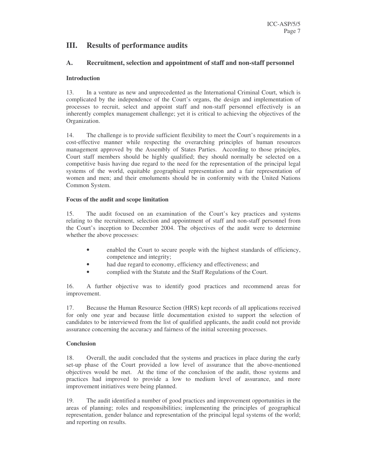## **III. Results of performance audits**

#### **A. Recruitment, selection and appointment of staff and non-staff personnel**

#### **Introduction**

13. In a venture as new and unprecedented as the International Criminal Court, which is complicated by the independence of the Court's organs, the design and implementation of processes to recruit, select and appoint staff and non-staff personnel effectively is an inherently complex management challenge; yet it is critical to achieving the objectives of the Organization.

14. The challenge is to provide sufficient flexibility to meet the Court's requirements in a cost-effective manner while respecting the overarching principles of human resources management approved by the Assembly of States Parties. According to those principles, Court staff members should be highly qualified; they should normally be selected on a competitive basis having due regard to the need for the representation of the principal legal systems of the world, equitable geographical representation and a fair representation of women and men; and their emoluments should be in conformity with the United Nations Common System.

#### **Focus of the audit and scope limitation**

15. The audit focused on an examination of the Court's key practices and systems relating to the recruitment, selection and appointment of staff and non-staff personnel from the Court's inception to December 2004. The objectives of the audit were to determine whether the above processes:

- enabled the Court to secure people with the highest standards of efficiency, competence and integrity;
- had due regard to economy, efficiency and effectiveness; and
- complied with the Statute and the Staff Regulations of the Court.

16. A further objective was to identify good practices and recommend areas for improvement.

17. Because the Human Resource Section (HRS) kept records of all applications received for only one year and because little documentation existed to support the selection of candidates to be interviewed from the list of qualified applicants, the audit could not provide assurance concerning the accuracy and fairness of the initial screening processes.

#### **Conclusion**

18. Overall, the audit concluded that the systems and practices in place during the early set-up phase of the Court provided a low level of assurance that the above-mentioned objectives would be met. At the time of the conclusion of the audit, those systems and practices had improved to provide a low to medium level of assurance, and more improvement initiatives were being planned.

19. The audit identified a number of good practices and improvement opportunities in the areas of planning; roles and responsibilities; implementing the principles of geographical representation, gender balance and representation of the principal legal systems of the world; and reporting on results.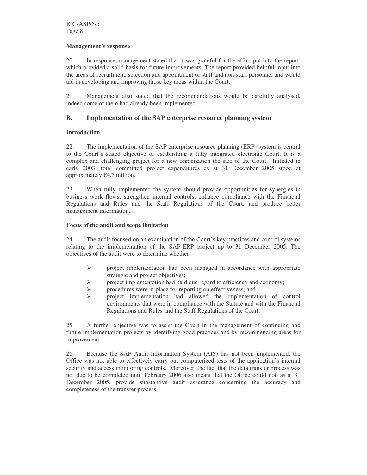#### **Management's response**

20. In response, management stated that it was grateful for the effort put into the report, which provided a solid basis for future improvements. The report provided helpful input into the areas of recruitment, selection and appointment of staff and non-staff personnel and would aid in developing and improving those key areas within the Court.

21. Management also stated that the recommendations would be carefully analysed, indeed some of them had already been implemented.

#### **B. Implementation of the SAP enterprise resource planning system**

#### **Introduction**

22. The implementation of the SAP enterprise resource planning (ERP) system is central to the Court's stated objective of establishing a fully integrated electronic Court. It is a complex and challenging project for a new organization the size of the Court. Initiated in early 2003, total committed project expenditures as at 31 December 2005 stood at approximately  $€4.7$  million.

23. When fully implemented the system should provide opportunities for synergies in business work flows; strengthen internal controls; enhance compliance with the Financial Regulations and Rules and the Staff Regulations of the Court; and produce better management information.

#### **Focus of the audit and scope limitation**

24. The audit focused on an examination of the Court's key practices and control systems relating to the implementation of the SAP-ERP project up to 31 December 2005. The objectives of the audit were to determine whether:

- $\triangleright$  project implementation had been managed in accordance with appropriate strategic and project objectives;
- $\triangleright$  project implementation had paid due regard to efficiency and economy;<br> $\triangleright$  procedures were in place for reporting on effectiveness; and
- $\triangleright$  procedures were in place for reporting on effectiveness; and <br> $\triangleright$  project implementation had allowed the implementa
- project implementation had allowed the implementation of control environments that were in compliance with the Statute and with the Financial Regulations and Rules and the Staff Regulations of the Court.

25. A further objective was to assist the Court in the management of continuing and future implementation projects by identifying good practices and by recommending areas for improvement.

26. Because the SAP Audit Information System (AIS) has not been implemented, the Office was not able to effectively carry out computerized tests of the application's internal security and access monitoring controls. Moreover, the fact that the data transfer process was not due to be completed until February 2006 also meant that the Office could not, as at 31 December 2005, provide substantive audit assurance concerning the accuracy and completeness of the transfer process.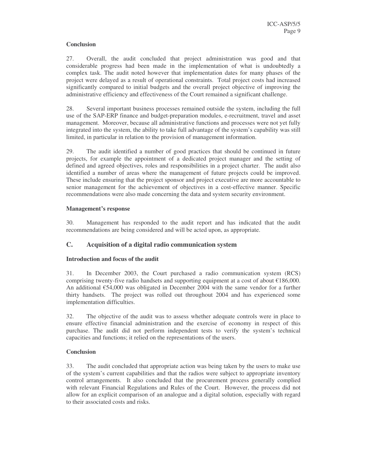#### **Conclusion**

27. Overall, the audit concluded that project administration was good and that considerable progress had been made in the implementation of what is undoubtedly a complex task. The audit noted however that implementation dates for many phases of the project were delayed as a result of operational constraints. Total project costs had increased significantly compared to initial budgets and the overall project objective of improving the administrative efficiency and effectiveness of the Court remained a significant challenge.

28. Several important business processes remained outside the system, including the full use of the SAP-ERP finance and budget-preparation modules, e-recruitment, travel and asset management. Moreover, because all administrative functions and processes were not yet fully integrated into the system, the ability to take full advantage of the system's capability was still limited, in particular in relation to the provision of management information.

29. The audit identified a number of good practices that should be continued in future projects, for example the appointment of a dedicated project manager and the setting of defined and agreed objectives, roles and responsibilities in a project charter. The audit also identified a number of areas where the management of future projects could be improved. These include ensuring that the project sponsor and project executive are more accountable to senior management for the achievement of objectives in a cost-effective manner. Specific recommendations were also made concerning the data and system security environment.

#### **Management's response**

30. Management has responded to the audit report and has indicated that the audit recommendations are being considered and will be acted upon, as appropriate.

#### **C. Acquisition of a digital radio communication system**

#### **Introduction and focus of the audit**

31. In December 2003, the Court purchased a radio communication system (RCS) comprising twenty-five radio handsets and supporting equipment at a cost of about €186,000. An additional €54,000 was obligated in December 2004 with the same vendor for a further thirty handsets. The project was rolled out throughout 2004 and has experienced some implementation difficulties.

32. The objective of the audit was to assess whether adequate controls were in place to ensure effective financial administration and the exercise of economy in respect of this purchase. The audit did not perform independent tests to verify the system's technical capacities and functions; it relied on the representations of the users.

#### **Conclusion**

33. The audit concluded that appropriate action was being taken by the users to make use of the system's current capabilities and that the radios were subject to appropriate inventory control arrangements. It also concluded that the procurement process generally complied with relevant Financial Regulations and Rules of the Court. However, the process did not allow for an explicit comparison of an analogue and a digital solution, especially with regard to their associated costs and risks.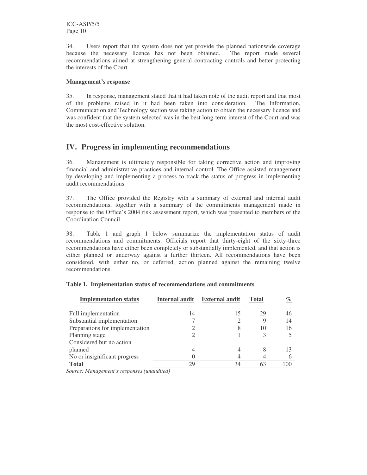ICC-ASP/5/5 Page 10

34. Users report that the system does not yet provide the planned nationwide coverage because the necessary licence has not been obtained. The report made several recommendations aimed at strengthening general contracting controls and better protecting the interests of the Court.

#### **Management's response**

35. In response, management stated that it had taken note of the audit report and that most of the problems raised in it had been taken into consideration. The Information, Communication and Technology section was taking action to obtain the necessary licence and was confident that the system selected was in the best long-term interest of the Court and was the most cost-effective solution.

## **IV. Progress in implementing recommendations**

36. Management is ultimately responsible for taking corrective action and improving financial and administrative practices and internal control. The Office assisted management by developing and implementing a process to track the status of progress in implementing audit recommendations.

37. The Office provided the Registry with a summary of external and internal audit recommendations, together with a summary of the commitments management made in response to the Office's 2004 risk assessment report, which was presented to members of the Coordination Council.

38. Table 1 and graph 1 below summarize the implementation status of audit recommendations and commitments. Officials report that thirty-eight of the sixty-three recommendations have either been completely or substantially implemented, and that action is either planned or underway against a further thirteen. All recommendations have been considered, with either no, or deferred, action planned against the remaining twelve recommendations.

| <b>Implementation status</b>    | Internal audit | <b>External audit</b> | <b>Total</b> | $\%$ |
|---------------------------------|----------------|-----------------------|--------------|------|
| Full implementation             | 14             | 15                    | 29           | 46   |
| Substantial implementation      |                |                       | 9            | 14   |
| Preparations for implementation |                | 8                     | 10           | 16   |
| Planning stage                  |                |                       |              |      |
| Considered but no action        |                |                       |              |      |
| planned                         |                | 4                     | 8            | 13   |
| No or insignificant progress    |                |                       |              |      |
| <b>Total</b>                    | 29             | 34                    | 63           | 100  |

#### **Table 1. Implementation status of recommendations and commitments**

*Source: Management's responses (unaudited)*